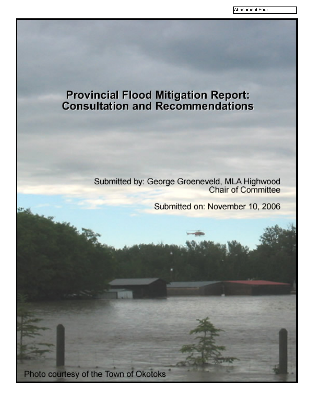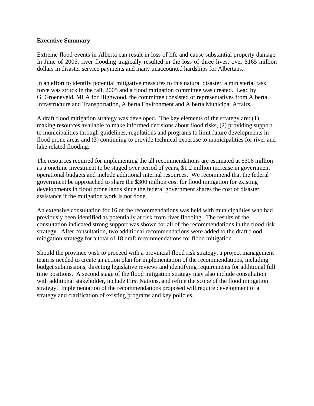#### **Executive Summary**

Extreme flood events in Alberta can result in loss of life and cause substantial property damage. In June of 2005, river flooding tragically resulted in the loss of three lives, over \$165 million dollars in disaster service payments and many unaccounted hardships for Albertans.

In an effort to identify potential mitigative measures to this natural disaster, a ministerial task force was struck in the fall, 2005 and a flood mitigation committee was created. Lead by G. Groeneveld, MLA for Highwood, the committee consisted of representatives from Alberta Infrastructure and Transportation, Alberta Environment and Alberta Municipal Affairs.

A draft flood mitigation strategy was developed. The key elements of the strategy are: (1) making resources available to make informed decisions about flood risks, (2) providing support to municipalities through guidelines, regulations and programs to limit future developments in flood prone areas and (3) continuing to provide technical expertise to municipalities for river and lake related flooding.

The resources required for implementing the all recommendations are estimated at \$306 million as a onetime investment to be staged over period of years, \$1.2 million increase in government operational budgets and include additional internal resources. We recommend that the federal government be approached to share the \$300 million cost for flood mitigation for existing developments in flood prone lands since the federal government shares the cost of disaster assistance if the mitigation work is not done.

An extensive consultation for 16 of the recommendations was held with municipalities who had previously been identified as potentially at risk from river flooding. The results of the consultation indicated strong support was shown for all of the recommendations in the flood risk strategy. After consultation, two additional recommendations were added to the draft flood mitigation strategy for a total of 18 draft recommendations for flood mitigation

Should the province wish to proceed with a provincial flood risk strategy, a project management team is needed to create an action plan for implementation of the recommendations, including budget submissions, directing legislative reviews and identifying requirements for additional full time positions. A second stage of the flood mitigation strategy may also include consultation with additional stakeholder, include First Nations, and refine the scope of the flood mitigation strategy. Implementation of the recommendations proposed will require development of a strategy and clarification of existing programs and key policies.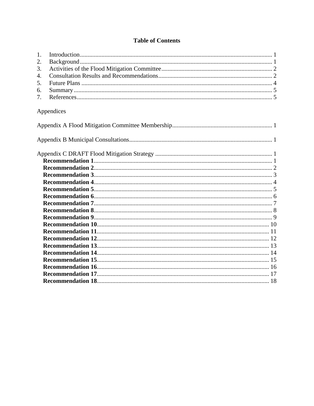## **Table of Contents**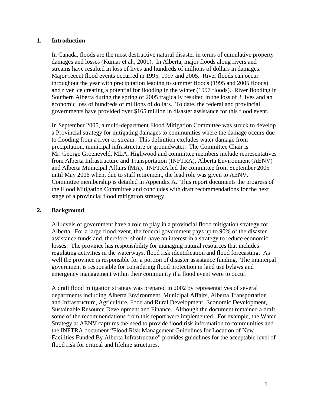#### <span id="page-3-0"></span>**1. Introduction**

In Canada, floods are the most destructive natural disaster in terms of cumulative property damages and losses (Kumar et al., 2001). In Alberta, major floods along rivers and streams have resulted in loss of lives and hundreds of millions of dollars in damages. Major recent flood events occurred in 1995, 1997 and 2005. River floods can occur throughout the year with precipitation leading to summer floods (1995 and 2005 floods) and river ice creating a potential for flooding in the winter (1997 floods). River flooding in Southern Alberta during the spring of 2005 tragically resulted in the loss of 3 lives and an economic loss of hundreds of millions of dollars. To date, the federal and provincial governments have provided over \$165 million in disaster assistance for this flood event.

In September 2005, a multi-department Flood Mitigation Committee was struck to develop a Provincial strategy for mitigating damages to communities where the damage occurs due to flooding from a river or stream. This definition excludes water damage from precipitation, municipal infrastructure or groundwater. The Committee Chair is Mr. George Groeneveld, MLA, Highwood and committee members include representatives from Alberta Infrastructure and Transportation (INFTRA), Alberta Environment (AENV) and Alberta Municipal Affairs (MA). INFTRA led the committee from September 2005 until May 2006 when, due to staff retirement, the lead role was given to AENV. Committee membership is detailed in Appendix A. This report documents the progress of the Flood Mitigation Committee and concludes with draft recommendations for the next stage of a provincial flood mitigation strategy.

#### **2. Background**

All levels of government have a role to play in a provincial flood mitigation strategy for Alberta. For a large flood event, the federal government pays up to 90% of the disaster assistance funds and, therefore, should have an interest in a strategy to reduce economic losses. The province has responsibility for managing natural resources that includes regulating activities in the waterways, flood risk identification and flood forecasting. As well the province is responsible for a portion of disaster assistance funding. The municipal government is responsible for considering flood protection in land use bylaws and emergency management within their community if a flood event were to occur.

A draft flood mitigation strategy was prepared in 2002 by representatives of several departments including Alberta Environment, Municipal Affairs, Alberta Transportation and Infrastructure, Agriculture, Food and Rural Development, Economic Development, Sustainable Resource Development and Finance. Although the document remained a draft, some of the recommendations from this report were implemented. For example, the Water Strategy at AENV captures the need to provide flood risk information to communities and the INFTRA document "Flood Risk Management Guidelines for Location of New Facilities Funded By Alberta Infrastructure" provides guidelines for the acceptable level of flood risk for critical and lifeline structures.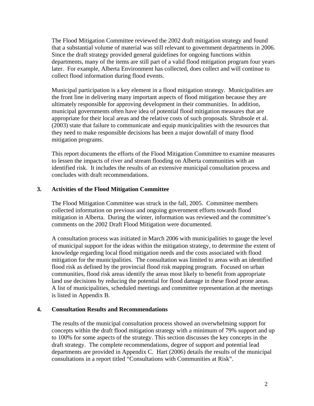<span id="page-4-0"></span>The Flood Mitigation Committee reviewed the 2002 draft mitigation strategy and found that a substantial volume of material was still relevant to government departments in 2006. Since the draft strategy provided general guidelines for ongoing functions within departments, many of the items are still part of a valid flood mitigation program four years later. For example, Alberta Environment has collected, does collect and will continue to collect flood information during flood events.

Municipal participation is a key element in a flood mitigation strategy. Municipalities are the front line in delivering many important aspects of flood mitigation because they are ultimately responsible for approving development in their communities. In addition, municipal governments often have idea of potential flood mitigation measures that are appropriate for their local areas and the relative costs of such proposals. Shrubsole et al. (2003) state that failure to communicate and equip municipalities with the resources that they need to make responsible decisions has been a major downfall of many flood mitigation programs.

This report documents the efforts of the Flood Mitigation Committee to examine measures to lessen the impacts of river and stream flooding on Alberta communities with an identified risk. It includes the results of an extensive municipal consultation process and concludes with draft recommendations.

### **3. Activities of the Flood Mitigation Committee**

The Flood Mitigation Committee was struck in the fall, 2005. Committee members collected information on previous and ongoing government efforts towards flood mitigation in Alberta. During the winter, information was reviewed and the committee's comments on the 2002 Draft Flood Mitigation were documented.

A consultation process was initiated in March 2006 with municipalities to gauge the level of municipal support for the ideas within the mitigation strategy, to determine the extent of knowledge regarding local flood mitigation needs and the costs associated with flood mitigation for the municipalities. The consultation was limited to areas with an identified flood risk as defined by the provincial flood risk mapping program. Focused on urban communities, flood risk areas identify the areas most likely to benefit from appropriate land use decisions by reducing the potential for flood damage in these flood prone areas. A list of municipalities, scheduled meetings and committee representation at the meetings is listed in Appendix B.

#### **4. Consultation Results and Recommendations**

The results of the municipal consultation process showed an overwhelming support for concepts within the draft flood mitigation strategy with a minimum of 79% support and up to 100% for some aspects of the strategy. This section discusses the key concepts in the draft strategy. The complete recommendations, degree of support and potential lead departments are provided in Appendix C. Hart (2006) details the results of the municipal consultations in a report titled "Consultations with Communities at Risk".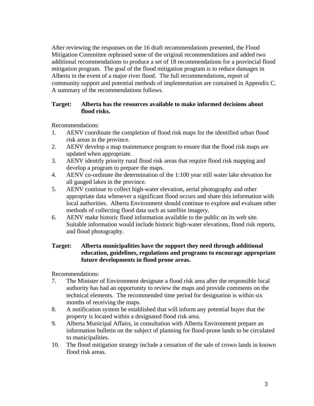After reviewing the responses on the 16 draft recommendations presented, the Flood Mitigation Committee rephrased some of the original recommendations and added two additional recommendations to produce a set of 18 recommendations for a provincial flood mitigation program. The goal of the flood mitigation program is to reduce damages in Alberta in the event of a major river flood. The full recommendations, report of community support and potential methods of implementation are contained in Appendix C. A summary of the recommendations follows.

### **Target: Alberta has the resources available to make informed decisions about flood risks.**

Recommendations:

- 1. AENV coordinate the completion of flood risk maps for the identified urban flood risk areas in the province.
- 2. AENV develop a map maintenance program to ensure that the flood risk maps are updated when appropriate.
- 3. AENV identify priority rural flood risk areas that require flood risk mapping and develop a program to prepare the maps.
- 4. AENV co-ordinate the determination of the 1:100 year still water lake elevation for all gauged lakes in the province.
- 5. AENV continue to collect high-water elevation, aerial photography and other appropriate data whenever a significant flood occurs and share this information with local authorities. Alberta Environment should continue to explore and evaluate other methods of collecting flood data such as satellite imagery.
- 6. AENV make historic flood information available to the public on its web site. Suitable information would include historic high-water elevations, flood risk reports, and flood photography.

### **Target: Alberta municipalities have the support they need through additional education, guidelines, regulations and programs to encourage appropriate future developments in flood prone areas.**

Recommendations:

- 7. The Minister of Environment designate a flood risk area after the responsible local authority has had an opportunity to review the maps and provide comments on the technical elements. The recommended time period for designation is within six months of receiving the maps.
- 8. A notification system be established that will inform any potential buyer that the property is located within a designated flood risk area.
- 9. Alberta Municipal Affairs, in consultation with Alberta Environment prepare an information bulletin on the subject of planning for flood-prone lands to be circulated to municipalities.
- 10. The flood mitigation strategy include a cessation of the sale of crown lands in known flood risk areas.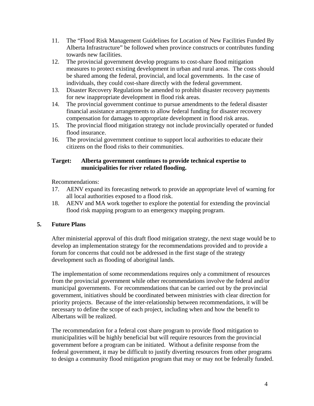- <span id="page-6-0"></span>11. The "Flood Risk Management Guidelines for Location of New Facilities Funded By Alberta Infrastructure" be followed when province constructs or contributes funding towards new facilities.
- 12. The provincial government develop programs to cost-share flood mitigation measures to protect existing development in urban and rural areas. The costs should be shared among the federal, provincial, and local governments. In the case of individuals, they could cost-share directly with the federal government.
- 13. Disaster Recovery Regulations be amended to prohibit disaster recovery payments for new inappropriate development in flood risk areas.
- 14. The provincial government continue to pursue amendments to the federal disaster financial assistance arrangements to allow federal funding for disaster recovery compensation for damages to appropriate development in flood risk areas.
- 15. The provincial flood mitigation strategy not include provincially operated or funded flood insurance.
- 16. The provincial government continue to support local authorities to educate their citizens on the flood risks to their communities.

### **Target: Alberta government continues to provide technical expertise to municipalities for river related flooding.**

Recommendations:

- 17. AENV expand its forecasting network to provide an appropriate level of warning for all local authorities exposed to a flood risk.
- 18. AENV and MA work together to explore the potential for extending the provincial flood risk mapping program to an emergency mapping program.

## **5. Future Plans**

After ministerial approval of this draft flood mitigation strategy, the next stage would be to develop an implementation strategy for the recommendations provided and to provide a forum for concerns that could not be addressed in the first stage of the strategy development such as flooding of aboriginal lands.

The implementation of some recommendations requires only a commitment of resources from the provincial government while other recommendations involve the federal and/or municipal governments. For recommendations that can be carried out by the provincial government, initiatives should be coordinated between ministries with clear direction for priority projects. Because of the inter-relationship between recommendations, it will be necessary to define the scope of each project, including when and how the benefit to Albertans will be realized.

The recommendation for a federal cost share program to provide flood mitigation to municipalities will be highly beneficial but will require resources from the provincial government before a program can be initiated. Without a definite response from the federal government, it may be difficult to justify diverting resources from other programs to design a community flood mitigation program that may or may not be federally funded.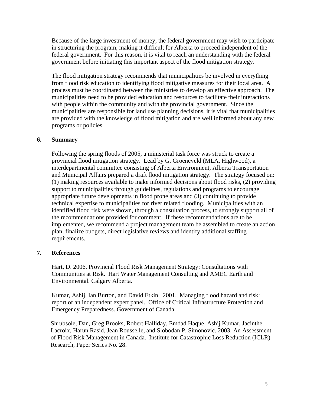<span id="page-7-0"></span>Because of the large investment of money, the federal government may wish to participate in structuring the program, making it difficult for Alberta to proceed independent of the federal government. For this reason, it is vital to reach an understanding with the federal government before initiating this important aspect of the flood mitigation strategy.

The flood mitigation strategy recommends that municipalities be involved in everything from flood risk education to identifying flood mitigative measures for their local area. A process must be coordinated between the ministries to develop an effective approach. The municipalities need to be provided education and resources to facilitate their interactions with people within the community and with the provincial government. Since the municipalities are responsible for land use planning decisions, it is vital that municipalities are provided with the knowledge of flood mitigation and are well informed about any new programs or policies

### **6. Summary**

Following the spring floods of 2005, a ministerial task force was struck to create a provincial flood mitigation strategy. Lead by G. Groeneveld (MLA, Highwood), a interdepartmental committee consisting of Alberta Environment, Alberta Transportation and Municipal Affairs prepared a draft flood mitigation strategy. The strategy focused on: (1) making resources available to make informed decisions about flood risks, (2) providing support to municipalities through guidelines, regulations and programs to encourage appropriate future developments in flood prone areas and (3) continuing to provide technical expertise to municipalities for river related flooding. Municipalities with an identified flood risk were shown, through a consultation process, to strongly support all of the recommendations provided for comment. If these recommendations are to be implemented, we recommend a project management team be assembled to create an action plan, finalize budgets, direct legislative reviews and identify additional staffing requirements.

### **7. References**

Hart, D. 2006. Provincial Flood Risk Management Strategy: Consultations with Communities at Risk. Hart Water Management Consulting and AMEC Earth and Environmental. Calgary Alberta.

Kumar, Ashij, Ian Burton, and David Etkin. 2001. Managing flood hazard and risk: report of an independent expert panel. Office of Critical Infrastructure Protection and Emergency Preparedness. Government of Canada.

Shrubsole, Dan, Greg Brooks, Robert Halliday, Emdad Haque, Ashij Kumar, Jacinthe Lacroix, Harun Rasid, Jean Rousselle, and Slobodan P. Simonovic. 2003. An Assessment of Flood Risk Management in Canada. Institute for Catastrophic Loss Reduction (ICLR) Research, Paper Series No. 28.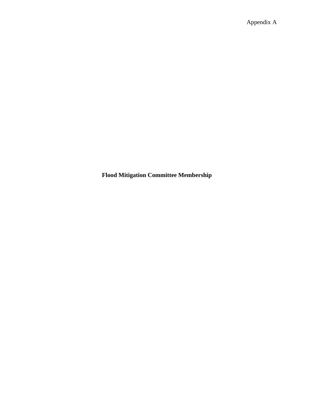<span id="page-8-0"></span>**Flood Mitigation Committee Membership**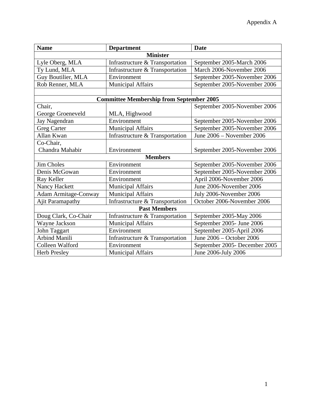| <b>Name</b>                 | <b>Department</b>                               | <b>Date</b>                   |  |  |  |  |  |
|-----------------------------|-------------------------------------------------|-------------------------------|--|--|--|--|--|
| <b>Minister</b>             |                                                 |                               |  |  |  |  |  |
| Lyle Oberg, MLA             | Infrastructure & Transportation                 | September 2005-March 2006     |  |  |  |  |  |
| Ty Lund, MLA                | Infrastructure & Transportation                 | March 2006-November 2006      |  |  |  |  |  |
| Guy Boutilier, MLA          | Environment                                     | September 2005-November 2006  |  |  |  |  |  |
| Rob Renner, MLA             | <b>Municipal Affairs</b>                        | September 2005-November 2006  |  |  |  |  |  |
|                             |                                                 |                               |  |  |  |  |  |
|                             | <b>Committee Membership from September 2005</b> |                               |  |  |  |  |  |
| Chair,                      |                                                 | September 2005-November 2006  |  |  |  |  |  |
| George Groeneveld           | MLA, Highwood                                   |                               |  |  |  |  |  |
| Jay Nagendran               | Environment                                     | September 2005-November 2006  |  |  |  |  |  |
| <b>Greg Carter</b>          | <b>Municipal Affairs</b>                        | September 2005-November 2006  |  |  |  |  |  |
| Allan Kwan                  | Infrastructure & Transportation                 | June 2006 - November 2006     |  |  |  |  |  |
| Co-Chair,                   |                                                 |                               |  |  |  |  |  |
| Chandra Mahabir             | Environment                                     | September 2005-November 2006  |  |  |  |  |  |
| <b>Members</b>              |                                                 |                               |  |  |  |  |  |
| <b>Jim Choles</b>           | Environment                                     | September 2005-November 2006  |  |  |  |  |  |
| Denis McGowan               | Environment                                     | September 2005-November 2006  |  |  |  |  |  |
| Ray Keller                  | Environment                                     | April 2006-November 2006      |  |  |  |  |  |
| Nancy Hackett               | <b>Municipal Affairs</b>                        | June 2006-November 2006       |  |  |  |  |  |
| <b>Adam Armitage-Conway</b> | <b>Municipal Affairs</b>                        | July 2006-November 2006       |  |  |  |  |  |
| <b>Ajit Paramapathy</b>     | Infrastructure & Transportation                 | October 2006-November 2006    |  |  |  |  |  |
| <b>Past Members</b>         |                                                 |                               |  |  |  |  |  |
| Doug Clark, Co-Chair        | Infrastructure & Transportation                 | September 2005-May 2006       |  |  |  |  |  |
| Wayne Jackson               | <b>Municipal Affairs</b>                        | September 2005- June 2006     |  |  |  |  |  |
| John Taggart                | Environment                                     | September 2005-April 2006     |  |  |  |  |  |
| <b>Arbind Manili</b>        | Infrastructure & Transportation                 | June 2006 – October 2006      |  |  |  |  |  |
| Colleen Walford             | Environment                                     | September 2005- December 2005 |  |  |  |  |  |
| <b>Herb Presley</b>         | <b>Municipal Affairs</b>                        | June 2006-July 2006           |  |  |  |  |  |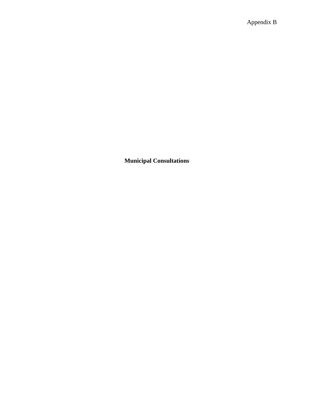<span id="page-10-0"></span>**Municipal Consultations**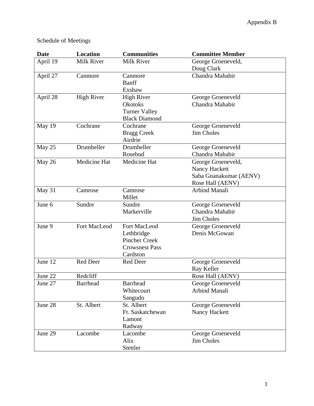# Schedule of Meetings

| <b>Date</b> | <b>Location</b>   | <b>Communities</b>    | <b>Committee Member</b> |
|-------------|-------------------|-----------------------|-------------------------|
| April 19    | <b>Milk River</b> | <b>Milk River</b>     | George Groeneveld,      |
|             |                   |                       | Doug Clark              |
| April 27    | Canmore           | Canmore               | Chandra Mahabir         |
|             |                   | Banff                 |                         |
|             |                   | Exshaw                |                         |
| April 28    | <b>High River</b> | <b>High River</b>     | George Groeneveld       |
|             |                   | <b>Okotoks</b>        | Chandra Mahabir         |
|             |                   | <b>Turner Valley</b>  |                         |
|             |                   | <b>Black Diamond</b>  |                         |
| May 19      | Cochrane          | Cochrane              | George Groeneveld       |
|             |                   | <b>Bragg Creek</b>    | <b>Jim Choles</b>       |
|             |                   | Airdrie               |                         |
| May 25      | Drumheller        | Drumheller            | George Groeneveld       |
|             |                   | Rosebud               | Chandra Mahabir         |
| May 26      | Medicine Hat      | Medicine Hat          | George Groeneveld,      |
|             |                   |                       | Nancy Hackett           |
|             |                   |                       | Saba Gnanakumar (AENV)  |
|             |                   |                       | Rose Hall (AENV)        |
| May 31      | Camrose           | Camrose               | <b>Arbind Manali</b>    |
|             |                   | Millet                |                         |
| June 6      | Sundre            | Sundre                | George Groeneveld       |
|             |                   | Markerville           | Chandra Mahabir         |
|             |                   |                       | Jim Choles              |
| June 9      | Fort MacLeod      | Fort MacLeod          | George Groeneveld       |
|             |                   | Lethbridge            | Denis McGowan           |
|             |                   | <b>Pincher Creek</b>  |                         |
|             |                   | <b>Crowsnest Pass</b> |                         |
|             |                   | Cardston              |                         |
| June 12     | Red Deer          | Red Deer              | George Groeneveld       |
|             |                   |                       | Ray Keller              |
| June 22     | Redcliff          |                       | Rose Hall (AENV)        |
| June 27     | <b>Barrhead</b>   | <b>Barrhead</b>       | George Groeneveld       |
|             |                   | Whitecourt            | Arbind Manali           |
|             |                   | Sangudo               |                         |
| June 28     | St. Albert        | St. Albert            | George Groeneveld       |
|             |                   | Ft. Saskatchewan      | Nancy Hackett           |
|             |                   | Lamont                |                         |
|             |                   | Radway                |                         |
| June 29     | Lacombe           | Lacombe               | George Groeneveld       |
|             |                   | Alix                  | Jim Choles              |
|             |                   | Stettler              |                         |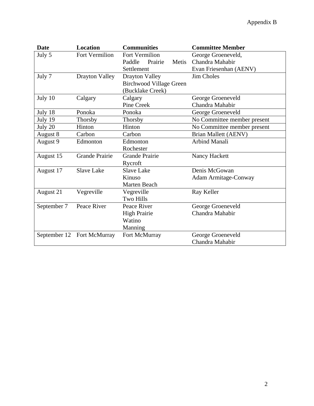| <b>Date</b>  | <b>Location</b>       | <b>Communities</b>             | <b>Committee Member</b>     |
|--------------|-----------------------|--------------------------------|-----------------------------|
| July 5       | Fort Vermilion        | Fort Vermilion                 | George Groeneveld,          |
|              |                       | Paddle<br>Prairie<br>Metis     | Chandra Mahabir             |
|              |                       | Settlement                     | Evan Friesenhan (AENV)      |
| July 7       | Drayton Valley        | Drayton Valley                 | <b>Jim Choles</b>           |
|              |                       | <b>Birchwood Village Green</b> |                             |
|              |                       | (Bucklake Creek)               |                             |
| July 10      | Calgary               | Calgary                        | George Groeneveld           |
|              |                       | Pine Creek                     | Chandra Mahabir             |
| July 18      | Ponoka                | Ponoka                         | George Groeneveld           |
| July 19      | Thorsby               | <b>Thorsby</b>                 | No Committee member present |
| July 20      | Hinton                | Hinton                         | No Committee member present |
| August 8     | Carbon                | Carbon                         | <b>Brian Mallett (AENV)</b> |
| August 9     | Edmonton              | Edmonton                       | <b>Arbind Manali</b>        |
|              |                       | Rochester                      |                             |
| August 15    | <b>Grande Prairie</b> | <b>Grande Prairie</b>          | Nancy Hackett               |
|              |                       | Rycroft                        |                             |
| August 17    | <b>Slave Lake</b>     | <b>Slave Lake</b>              | Denis McGowan               |
|              |                       | Kinuso                         | <b>Adam Armitage-Conway</b> |
|              |                       | <b>Marten Beach</b>            |                             |
| August 21    | Vegreville            | Vegreville                     | Ray Keller                  |
|              |                       | <b>Two Hills</b>               |                             |
| September 7  | Peace River           | Peace River                    | George Groeneveld           |
|              |                       | <b>High Prairie</b>            | Chandra Mahabir             |
|              |                       | Watino                         |                             |
|              |                       | Manning                        |                             |
| September 12 | Fort McMurray         | Fort McMurray                  | George Groeneveld           |
|              |                       |                                | Chandra Mahabir             |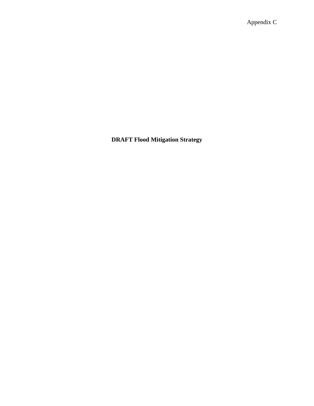Appendix C

<span id="page-13-0"></span>**DRAFT Flood Mitigation Strategy**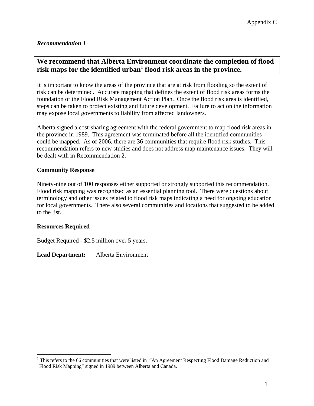# <span id="page-14-0"></span>**We recommend that Alberta Environment coordinate the completion of flood risk maps for the identified urban[1](#page-14-1) flood risk areas in the province.**

It is important to know the areas of the province that are at risk from flooding so the extent of risk can be determined. Accurate mapping that defines the extent of flood risk areas forms the foundation of the Flood Risk Management Action Plan. Once the flood risk area is identified, steps can be taken to protect existing and future development. Failure to act on the information may expose local governments to liability from affected landowners.

Alberta signed a cost-sharing agreement with the federal government to map flood risk areas in the province in 1989. This agreement was terminated before all the identified communities could be mapped. As of 2006, there are 36 communities that require flood risk studies. This recommendation refers to new studies and does not address map maintenance issues. They will be dealt with in Recommendation 2.

### **Community Response**

Ninety-nine out of 100 responses either supported or strongly supported this recommendation. Flood risk mapping was recognized as an essential planning tool. There were questions about terminology and other issues related to flood risk maps indicating a need for ongoing education for local governments. There also several communities and locations that suggested to be added to the list.

### **Resources Required**

1

Budget Required - \$2.5 million over 5 years.

<span id="page-14-1"></span><sup>&</sup>lt;sup>1</sup> This refers to the 66 communities that were listed in "An Agreement Respecting Flood Damage Reduction and Flood Risk Mapping" signed in 1989 between Alberta and Canada.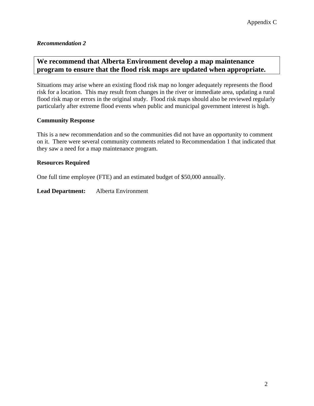# <span id="page-15-0"></span>**We recommend that Alberta Environment develop a map maintenance program to ensure that the flood risk maps are updated when appropriate.**

Situations may arise where an existing flood risk map no longer adequately represents the flood risk for a location. This may result from changes in the river or immediate area, updating a rural flood risk map or errors in the original study. Flood risk maps should also be reviewed regularly particularly after extreme flood events when public and municipal government interest is high.

### **Community Response**

This is a new recommendation and so the communities did not have an opportunity to comment on it. There were several community comments related to Recommendation 1 that indicated that they saw a need for a map maintenance program.

#### **Resources Required**

One full time employee (FTE) and an estimated budget of \$50,000 annually.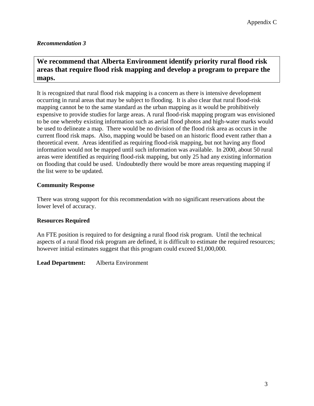# <span id="page-16-0"></span>**We recommend that Alberta Environment identify priority rural flood risk areas that require flood risk mapping and develop a program to prepare the maps.**

It is recognized that rural flood risk mapping is a concern as there is intensive development occurring in rural areas that may be subject to flooding. It is also clear that rural flood-risk mapping cannot be to the same standard as the urban mapping as it would be prohibitively expensive to provide studies for large areas. A rural flood-risk mapping program was envisioned to be one whereby existing information such as aerial flood photos and high-water marks would be used to delineate a map. There would be no division of the flood risk area as occurs in the current flood risk maps. Also, mapping would be based on an historic flood event rather than a theoretical event. Areas identified as requiring flood-risk mapping, but not having any flood information would not be mapped until such information was available. In 2000, about 50 rural areas were identified as requiring flood-risk mapping, but only 25 had any existing information on flooding that could be used. Undoubtedly there would be more areas requesting mapping if the list were to be updated.

## **Community Response**

There was strong support for this recommendation with no significant reservations about the lower level of accuracy.

### **Resources Required**

An FTE position is required to for designing a rural flood risk program. Until the technical aspects of a rural flood risk program are defined, it is difficult to estimate the required resources; however initial estimates suggest that this program could exceed \$1,000,000.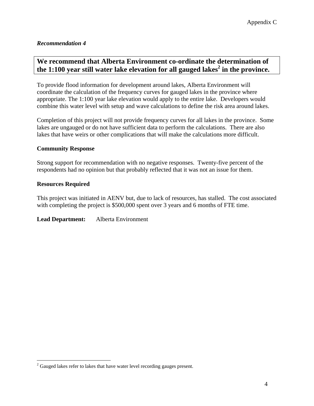# <span id="page-17-0"></span>**We recommend that Alberta Environment co-ordinate the determination of the 1:100 year still water lake elevation for all gauged lakes[2](#page-17-1) in the province.**

To provide flood information for development around lakes, Alberta Environment will coordinate the calculation of the frequency curves for gauged lakes in the province where appropriate. The 1:100 year lake elevation would apply to the entire lake. Developers would combine this water level with setup and wave calculations to define the risk area around lakes.

Completion of this project will not provide frequency curves for all lakes in the province. Some lakes are ungauged or do not have sufficient data to perform the calculations. There are also lakes that have weirs or other complications that will make the calculations more difficult.

### **Community Response**

Strong support for recommendation with no negative responses. Twenty-five percent of the respondents had no opinion but that probably reflected that it was not an issue for them.

#### **Resources Required**

 $\overline{a}$ 

This project was initiated in AENV but, due to lack of resources, has stalled. The cost associated with completing the project is \$500,000 spent over 3 years and 6 months of FTE time.

<span id="page-17-1"></span> $2^{2}$  Gauged lakes refer to lakes that have water level recording gauges present.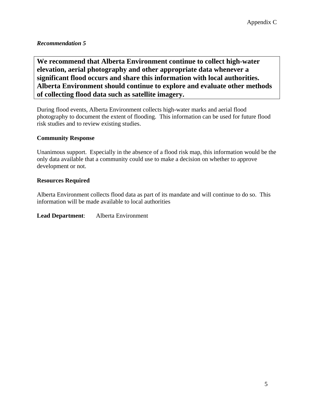<span id="page-18-0"></span>**We recommend that Alberta Environment continue to collect high-water elevation, aerial photography and other appropriate data whenever a significant flood occurs and share this information with local authorities. Alberta Environment should continue to explore and evaluate other methods of collecting flood data such as satellite imagery.** 

During flood events, Alberta Environment collects high-water marks and aerial flood photography to document the extent of flooding. This information can be used for future flood risk studies and to review existing studies.

## **Community Response**

Unanimous support. Especially in the absence of a flood risk map, this information would be the only data available that a community could use to make a decision on whether to approve development or not.

### **Resources Required**

Alberta Environment collects flood data as part of its mandate and will continue to do so. This information will be made available to local authorities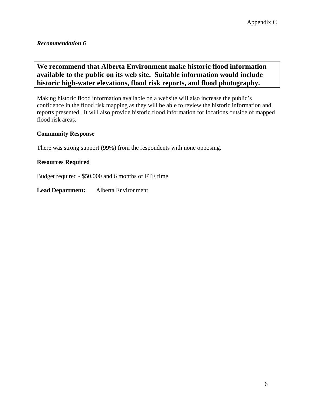# <span id="page-19-0"></span>**We recommend that Alberta Environment make historic flood information available to the public on its web site. Suitable information would include historic high-water elevations, flood risk reports, and flood photography.**

Making historic flood information available on a website will also increase the public's confidence in the flood risk mapping as they will be able to review the historic information and reports presented. It will also provide historic flood information for locations outside of mapped flood risk areas.

### **Community Response**

There was strong support (99%) from the respondents with none opposing.

## **Resources Required**

Budget required - \$50,000 and 6 months of FTE time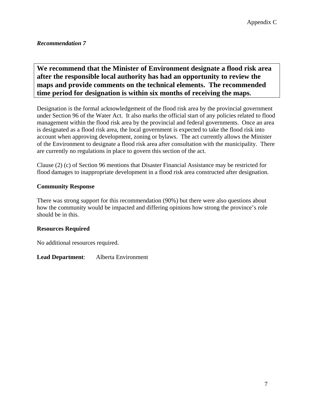# <span id="page-20-0"></span>**We recommend that the Minister of Environment designate a flood risk area after the responsible local authority has had an opportunity to review the maps and provide comments on the technical elements. The recommended time period for designation is within six months of receiving the maps.**

Designation is the formal acknowledgement of the flood risk area by the provincial government under Section 96 of the Water Act. It also marks the official start of any policies related to flood management within the flood risk area by the provincial and federal governments. Once an area is designated as a flood risk area, the local government is expected to take the flood risk into account when approving development, zoning or bylaws. The act currently allows the Minister of the Environment to designate a flood risk area after consultation with the municipality. There are currently no regulations in place to govern this section of the act.

Clause (2) (c) of Section 96 mentions that Disaster Financial Assistance may be restricted for flood damages to inappropriate development in a flood risk area constructed after designation.

### **Community Response**

There was strong support for this recommendation (90%) but there were also questions about how the community would be impacted and differing opinions how strong the province's role should be in this.

### **Resources Required**

No additional resources required.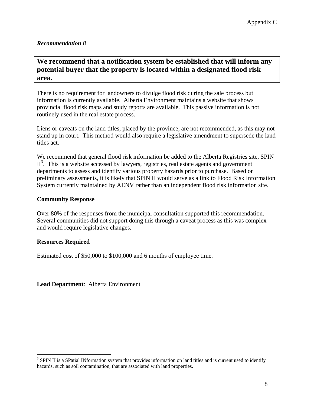## <span id="page-21-0"></span>**We recommend that a notification system be established that will inform any potential buyer that the property is located within a designated flood risk area.**

There is no requirement for landowners to divulge flood risk during the sale process but information is currently available. Alberta Environment maintains a website that shows provincial flood risk maps and study reports are available. This passive information is not routinely used in the real estate process.

Liens or caveats on the land titles, placed by the province, are not recommended, as this may not stand up in court. This method would also require a legislative amendment to supersede the land titles act.

We recommend that general flood risk information be added to the Alberta Registries site, SPIN  $II<sup>3</sup>$ . This is a website accessed by lawyers, registries, real estate agents and government departments to assess and identify various property hazards prior to purchase. Based on preliminary assessments, it is likely that SPIN II would serve as a link to Flood Risk Information System currently maintained by AENV rather than an independent flood risk information site.

### **Community Response**

Over 80% of the responses from the municipal consultation supported this recommendation. Several communities did not support doing this through a caveat process as this was complex and would require legislative changes.

### **Resources Required**

 $\overline{a}$ 

Estimated cost of \$50,000 to \$100,000 and 6 months of employee time.

<span id="page-21-1"></span> $3$  SPIN II is a SPatial INformation system that provides information on land titles and is current used to identify hazards, such as soil contamination, that are associated with land properties.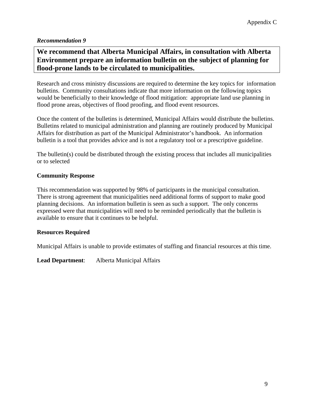# <span id="page-22-0"></span>**We recommend that Alberta Municipal Affairs, in consultation with Alberta Environment prepare an information bulletin on the subject of planning for flood-prone lands to be circulated to municipalities.**

Research and cross ministry discussions are required to determine the key topics for information bulletins. Community consultations indicate that more information on the following topics would be beneficially to their knowledge of flood mitigation: appropriate land use planning in flood prone areas, objectives of flood proofing, and flood event resources.

Once the content of the bulletins is determined, Municipal Affairs would distribute the bulletins. Bulletins related to municipal administration and planning are routinely produced by Municipal Affairs for distribution as part of the Municipal Administrator's handbook. An information bulletin is a tool that provides advice and is not a regulatory tool or a prescriptive guideline.

The bulletin(s) could be distributed through the existing process that includes all municipalities or to selected

### **Community Response**

This recommendation was supported by 98% of participants in the municipal consultation. There is strong agreement that municipalities need additional forms of support to make good planning decisions. An information bulletin is seen as such a support. The only concerns expressed were that municipalities will need to be reminded periodically that the bulletin is available to ensure that it continues to be helpful.

#### **Resources Required**

Municipal Affairs is unable to provide estimates of staffing and financial resources at this time.

**Lead Department**: Alberta Municipal Affairs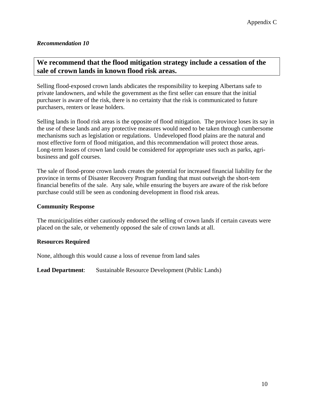# <span id="page-23-0"></span>**We recommend that the flood mitigation strategy include a cessation of the sale of crown lands in known flood risk areas.**

Selling flood-exposed crown lands abdicates the responsibility to keeping Albertans safe to private landowners, and while the government as the first seller can ensure that the initial purchaser is aware of the risk, there is no certainty that the risk is communicated to future purchasers, renters or lease holders.

Selling lands in flood risk areas is the opposite of flood mitigation. The province loses its say in the use of these lands and any protective measures would need to be taken through cumbersome mechanisms such as legislation or regulations. Undeveloped flood plains are the natural and most effective form of flood mitigation, and this recommendation will protect those areas. Long-term leases of crown land could be considered for appropriate uses such as parks, agribusiness and golf courses.

The sale of flood-prone crown lands creates the potential for increased financial liability for the province in terms of Disaster Recovery Program funding that must outweigh the short-tem financial benefits of the sale. Any sale, while ensuring the buyers are aware of the risk before purchase could still be seen as condoning development in flood risk areas.

#### **Community Response**

The municipalities either cautiously endorsed the selling of crown lands if certain caveats were placed on the sale, or vehemently opposed the sale of crown lands at all.

#### **Resources Required**

None, although this would cause a loss of revenue from land sales

**Lead Department**: Sustainable Resource Development (Public Lands)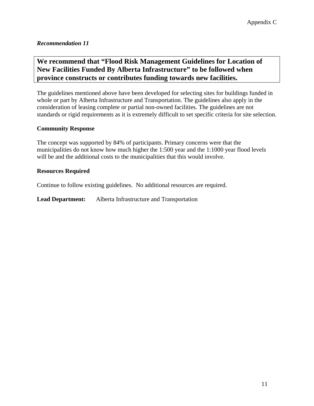# <span id="page-24-0"></span>**We recommend that "Flood Risk Management Guidelines for Location of New Facilities Funded By Alberta Infrastructure" to be followed when province constructs or contributes funding towards new facilities.**

The guidelines mentioned above have been developed for selecting sites for buildings funded in whole or part by Alberta Infrastructure and Transportation. The guidelines also apply in the consideration of leasing complete or partial non-owned facilities. The guidelines are not standards or rigid requirements as it is extremely difficult to set specific criteria for site selection.

### **Community Response**

The concept was supported by 84% of participants. Primary concerns were that the municipalities do not know how much higher the 1:500 year and the 1:1000 year flood levels will be and the additional costs to the municipalities that this would involve.

### **Resources Required**

Continue to follow existing guidelines. No additional resources are required.

**Lead Department:** Alberta Infrastructure and Transportation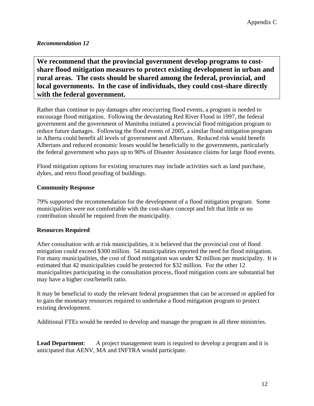<span id="page-25-0"></span>**We recommend that the provincial government develop programs to costshare flood mitigation measures to protect existing development in urban and rural areas. The costs should be shared among the federal, provincial, and local governments. In the case of individuals, they could cost-share directly with the federal government.**

Rather than continue to pay damages after reoccurring flood events, a program is needed to encourage flood mitigation. Following the devastating Red River Flood in 1997, the federal government and the government of Manitoba initiated a provincial flood mitigation program to reduce future damages. Following the flood events of 2005, a similar flood mitigation program in Alberta could benefit all levels of government and Albertans. Reduced risk would benefit Albertans and reduced economic losses would be beneficially to the governments, particularly the federal government who pays up to 90% of Disaster Assistance claims for large flood events.

Flood mitigation options for existing structures may include activities such as land purchase, dykes, and retro flood proofing of buildings.

## **Community Response**

79% supported the recommendation for the development of a flood mitigation program. Some municipalities were not comfortable with the cost-share concept and felt that little or no contribution should be required from the municipality.

### **Resources Required**

After consultation with at risk municipalities, it is believed that the provincial cost of flood mitigation could exceed \$300 million. 54 municipalities reported the need for flood mitigation. For many municipalities, the cost of flood mitigation was under \$2 million per municipality. It is estimated that 42 municipalities could be protected for \$32 million. For the other 12 municipalities participating in the consultation process, flood mitigation costs are substantial but may have a higher cost/benefit ratio.

It may be beneficial to study the relevant federal programmes that can be accessed or applied for to gain the monetary resources required to undertake a flood mitigation program to protect existing development.

Additional FTEs would be needed to develop and manage the program in all three ministries.

**Lead Department:** A project management team is required to develop a program and it is anticipated that AENV, MA and INFTRA would participate.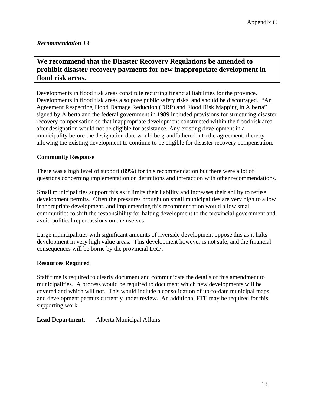# <span id="page-26-0"></span>**We recommend that the Disaster Recovery Regulations be amended to prohibit disaster recovery payments for new inappropriate development in flood risk areas.**

Developments in flood risk areas constitute recurring financial liabilities for the province. Developments in flood risk areas also pose public safety risks, and should be discouraged. "An Agreement Respecting Flood Damage Reduction (DRP) and Flood Risk Mapping in Alberta" signed by Alberta and the federal government in 1989 included provisions for structuring disaster recovery compensation so that inappropriate development constructed within the flood risk area after designation would not be eligible for assistance. Any existing development in a municipality before the designation date would be grandfathered into the agreement; thereby allowing the existing development to continue to be eligible for disaster recovery compensation.

## **Community Response**

There was a high level of support (89%) for this recommendation but there were a lot of questions concerning implementation on definitions and interaction with other recommendations.

Small municipalities support this as it limits their liability and increases their ability to refuse development permits. Often the pressures brought on small municipalities are very high to allow inappropriate development, and implementing this recommendation would allow small communities to shift the responsibility for halting development to the provincial government and avoid political repercussions on themselves

Large municipalities with significant amounts of riverside development oppose this as it halts development in very high value areas. This development however is not safe, and the financial consequences will be borne by the provincial DRP.

### **Resources Required**

Staff time is required to clearly document and communicate the details of this amendment to municipalities. A process would be required to document which new developments will be covered and which will not. This would include a consolidation of up-to-date municipal maps and development permits currently under review. An additional FTE may be required for this supporting work.

**Lead Department**: Alberta Municipal Affairs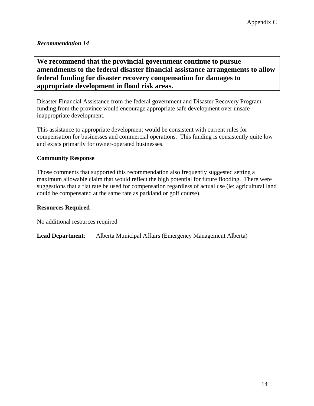<span id="page-27-0"></span>**We recommend that the provincial government continue to pursue amendments to the federal disaster financial assistance arrangements to allow federal funding for disaster recovery compensation for damages to appropriate development in flood risk areas.**

Disaster Financial Assistance from the federal government and Disaster Recovery Program funding from the province would encourage appropriate safe development over unsafe inappropriate development.

This assistance to appropriate development would be consistent with current rules for compensation for businesses and commercial operations. This funding is consistently quite low and exists primarily for owner-operated businesses.

### **Community Response**

Those comments that supported this recommendation also frequently suggested setting a maximum allowable claim that would reflect the high potential for future flooding. There were suggestions that a flat rate be used for compensation regardless of actual use (ie: agricultural land could be compensated at the same rate as parkland or golf course).

#### **Resources Required**

No additional resources required

**Lead Department**: Alberta Municipal Affairs (Emergency Management Alberta)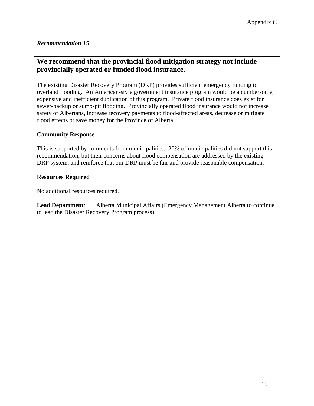# <span id="page-28-0"></span>**We recommend that the provincial flood mitigation strategy not include provincially operated or funded flood insurance.**

The existing Disaster Recovery Program (DRP) provides sufficient emergency funding to overland flooding. An American-style government insurance program would be a cumbersome, expensive and inefficient duplication of this program. Private flood insurance does exist for sewer-backup or sump-pit flooding. Provincially operated flood insurance would not increase safety of Albertans, increase recovery payments to flood-affected areas, decrease or mitigate flood effects or save money for the Province of Alberta.

### **Community Response**

This is supported by comments from municipalities. 20% of municipalities did not support this recommendation, but their concerns about flood compensation are addressed by the existing DRP system, and reinforce that our DRP must be fair and provide reasonable compensation.

### **Resources Required**

No additional resources required.

**Lead Department**: Alberta Municipal Affairs (Emergency Management Alberta to continue to lead the Disaster Recovery Program process).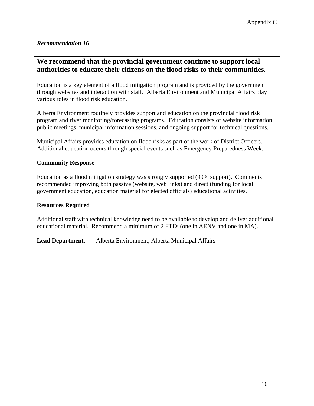## <span id="page-29-0"></span>**We recommend that the provincial government continue to support local authorities to educate their citizens on the flood risks to their communities.**

Education is a key element of a flood mitigation program and is provided by the government through websites and interaction with staff. Alberta Environment and Municipal Affairs play various roles in flood risk education.

Alberta Environment routinely provides support and education on the provincial flood risk program and river monitoring/forecasting programs. Education consists of website information, public meetings, municipal information sessions, and ongoing support for technical questions.

Municipal Affairs provides education on flood risks as part of the work of District Officers. Additional education occurs through special events such as Emergency Preparedness Week.

### **Community Response**

Education as a flood mitigation strategy was strongly supported (99% support). Comments recommended improving both passive (website, web links) and direct (funding for local government education, education material for elected officials) educational activities.

#### **Resources Required**

Additional staff with technical knowledge need to be available to develop and deliver additional educational material. Recommend a minimum of 2 FTEs (one in AENV and one in MA).

**Lead Department**: Alberta Environment, Alberta Municipal Affairs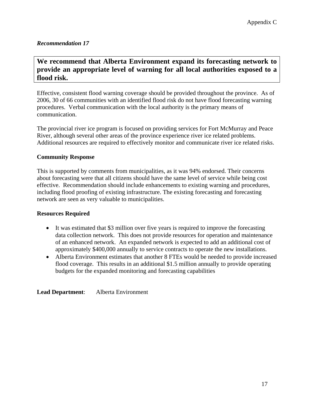# <span id="page-30-0"></span>**We recommend that Alberta Environment expand its forecasting network to provide an appropriate level of warning for all local authorities exposed to a flood risk.**

Effective, consistent flood warning coverage should be provided throughout the province. As of 2006, 30 of 66 communities with an identified flood risk do not have flood forecasting warning procedures. Verbal communication with the local authority is the primary means of communication.

The provincial river ice program is focused on providing services for Fort McMurray and Peace River, although several other areas of the province experience river ice related problems. Additional resources are required to effectively monitor and communicate river ice related risks.

### **Community Response**

This is supported by comments from municipalities, as it was 94% endorsed. Their concerns about forecasting were that all citizens should have the same level of service while being cost effective. Recommendation should include enhancements to existing warning and procedures, including flood proofing of existing infrastructure. The existing forecasting and forecasting network are seen as very valuable to municipalities.

### **Resources Required**

- It was estimated that \$3 million over five years is required to improve the forecasting data collection network. This does not provide resources for operation and maintenance of an enhanced network. An expanded network is expected to add an additional cost of approximately \$400,000 annually to service contracts to operate the new installations.
- Alberta Environment estimates that another 8 FTEs would be needed to provide increased flood coverage. This results in an additional \$1.5 million annually to provide operating budgets for the expanded monitoring and forecasting capabilities